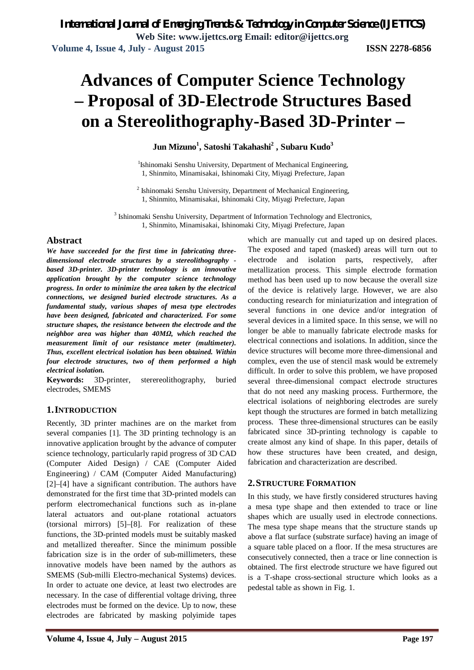# **Advances of Computer Science Technology – Proposal of 3D-Electrode Structures Based on a Stereolithography-Based 3D-Printer –**

#### **Jun Mizuno<sup>1</sup> , Satoshi Takahashi<sup>2</sup> , Subaru Kudo<sup>3</sup>**

<sup>1</sup>Ishinomaki Senshu University, Department of Mechanical Engineering, 1, Shinmito, Minamisakai, Ishinomaki City, Miyagi Prefecture, Japan

2 Ishinomaki Senshu University, Department of Mechanical Engineering, 1, Shinmito, Minamisakai, Ishinomaki City, Miyagi Prefecture, Japan

<sup>3</sup> Ishinomaki Senshu University, Department of Information Technology and Electronics, 1, Shinmito, Minamisakai, Ishinomaki City, Miyagi Prefecture, Japan

#### **Abstract**

*We have succeeded for the first time in fabricating threedimensional electrode structures by a stereolithography based 3D-printer. 3D-printer technology is an innovative application brought by the computer science technology progress. In order to minimize the area taken by the electrical connections, we designed buried electrode structures. As a fundamental study, various shapes of mesa type electrodes have been designed, fabricated and characterized. For some structure shapes, the resistance between the electrode and the neighbor area was higher than 40MΩ, which reached the measurement limit of our resistance meter (multimeter). Thus, excellent electrical isolation has been obtained. Within four electrode structures, two of them performed a high electrical isolation.*

**Keywords:** 3D-printer, sterereolithography, buried electrodes, SMEMS

#### **1.INTRODUCTION**

Recently, 3D printer machines are on the market from several companies [1]. The 3D printing technology is an innovative application brought by the advance of computer science technology, particularly rapid progress of 3D CAD (Computer Aided Design) / CAE (Computer Aided Engineering) / CAM (Computer Aided Manufacturing) [2]–[4] have a significant contribution. The authors have demonstrated for the first time that 3D-printed models can perform electromechanical functions such as in-plane lateral actuators and out-plane rotational actuators (torsional mirrors) [5]–[8]. For realization of these functions, the 3D-printed models must be suitably masked and metallized thereafter. Since the minimum possible fabrication size is in the order of sub-millimeters, these innovative models have been named by the authors as SMEMS (Sub-milli Electro-mechanical Systems) devices. In order to actuate one device, at least two electrodes are necessary. In the case of differential voltage driving, three electrodes must be formed on the device. Up to now, these electrodes are fabricated by masking polyimide tapes which are manually cut and taped up on desired places. The exposed and taped (masked) areas will turn out to electrode and isolation parts, respectively, after metallization process. This simple electrode formation method has been used up to now because the overall size of the device is relatively large. However, we are also conducting research for miniaturization and integration of several functions in one device and/or integration of several devices in a limited space. In this sense, we will no longer be able to manually fabricate electrode masks for electrical connections and isolations. In addition, since the device structures will become more three-dimensional and complex, even the use of stencil mask would be extremely difficult. In order to solve this problem, we have proposed several three-dimensional compact electrode structures that do not need any masking process. Furthermore, the electrical isolations of neighboring electrodes are surely kept though the structures are formed in batch metallizing process. These three-dimensional structures can be easily fabricated since 3D-printing technology is capable to create almost any kind of shape. In this paper, details of how these structures have been created, and design, fabrication and characterization are described.

#### **2.STRUCTURE FORMATION**

In this study, we have firstly considered structures having a mesa type shape and then extended to trace or line shapes which are usually used in electrode connections. The mesa type shape means that the structure stands up above a flat surface (substrate surface) having an image of a square table placed on a floor. If the mesa structures are consecutively connected, then a trace or line connection is obtained. The first electrode structure we have figured out is a T-shape cross-sectional structure which looks as a pedestal table as shown in Fig. 1.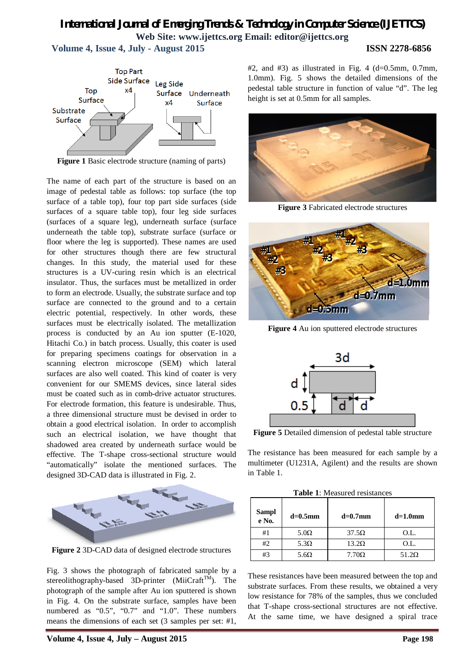# *International Journal of Emerging Trends & Technology in Computer Science (IJETTCS)* **Web Site: www.ijettcs.org Email: editor@ijettcs.org**

 **Volume 4, Issue 4, July - August 2015 ISSN 2278-6856**



**Figure 1** Basic electrode structure (naming of parts)

The name of each part of the structure is based on an image of pedestal table as follows: top surface (the top surface of a table top), four top part side surfaces (side surfaces of a square table top), four leg side surfaces (surfaces of a square leg), underneath surface (surface underneath the table top), substrate surface (surface or floor where the leg is supported). These names are used for other structures though there are few structural changes. In this study, the material used for these structures is a UV-curing resin which is an electrical insulator. Thus, the surfaces must be metallized in order to form an electrode. Usually, the substrate surface and top surface are connected to the ground and to a certain electric potential, respectively. In other words, these surfaces must be electrically isolated. The metallization process is conducted by an Au ion sputter (E-1020, Hitachi Co.) in batch process. Usually, this coater is used for preparing specimens coatings for observation in a scanning electron microscope (SEM) which lateral surfaces are also well coated. This kind of coater is very convenient for our SMEMS devices, since lateral sides must be coated such as in comb-drive actuator structures. For electrode formation, this feature is undesirable. Thus, a three dimensional structure must be devised in order to obtain a good electrical isolation. In order to accomplish such an electrical isolation, we have thought that shadowed area created by underneath surface would be effective. The T-shape cross-sectional structure would "automatically" isolate the mentioned surfaces. The designed 3D-CAD data is illustrated in Fig. 2.



**Figure 2** 3D-CAD data of designed electrode structures

Fig. 3 shows the photograph of fabricated sample by a stereolithography-based 3D-printer (MiiCraft<sup>TM</sup>). The photograph of the sample after Au ion sputtered is shown in Fig. 4. On the substrate surface, samples have been numbered as "0.5", "0.7" and "1.0". These numbers means the dimensions of each set (3 samples per set: #1,  $#2$ , and  $#3$ ) as illustrated in Fig. 4 (d=0.5mm, 0.7mm, 1.0mm). Fig. 5 shows the detailed dimensions of the pedestal table structure in function of value "d". The leg height is set at 0.5mm for all samples.



**Figure 3** Fabricated electrode structures



**Figure 4** Au ion sputtered electrode structures



**Figure 5** Detailed dimension of pedestal table structure

The resistance has been measured for each sample by a multimeter (U1231A, Agilent) and the results are shown in Table 1.

| <b>Table 1:</b> Measured resistances |  |
|--------------------------------------|--|
|--------------------------------------|--|

| Sampl<br>e No. | $d=0.5$ mm  | $d=0.7$ mm   | $d=1.0$ mm   |
|----------------|-------------|--------------|--------------|
| #1             | $5.0\Omega$ | $37.5\Omega$ | O.L.         |
| #2             | $5.3\Omega$ | $13.2\Omega$ | O.L.         |
| #3             | $5.6\Omega$ | $7.70\Omega$ | $51.2\Omega$ |

These resistances have been measured between the top and substrate surfaces. From these results, we obtained a very low resistance for 78% of the samples, thus we concluded that T-shape cross-sectional structures are not effective. At the same time, we have designed a spiral trace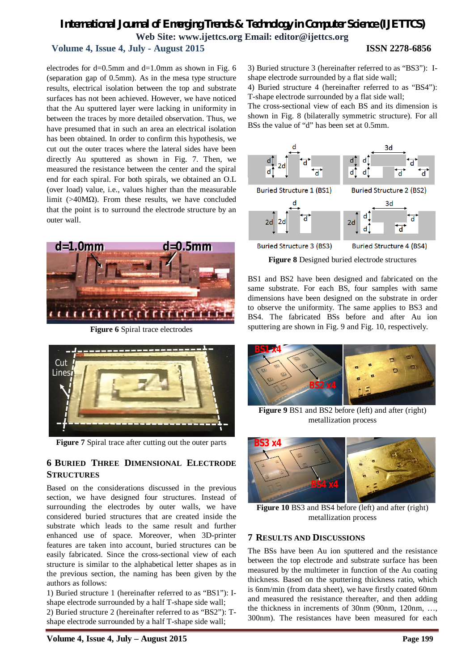### *International Journal of Emerging Trends & Technology in Computer Science (IJETTCS)* **Web Site: www.ijettcs.org Email: editor@ijettcs.org Volume 4, Issue 4, July - August 2015 ISSN 2278-6856**

electrodes for  $d=0.5$ mm and  $d=1.0$ mm as shown in Fig. 6 (separation gap of 0.5mm). As in the mesa type structure results, electrical isolation between the top and substrate surfaces has not been achieved. However, we have noticed that the Au sputtered layer were lacking in uniformity in between the traces by more detailed observation. Thus, we have presumed that in such an area an electrical isolation has been obtained. In order to confirm this hypothesis, we cut out the outer traces where the lateral sides have been directly Au sputtered as shown in Fig. 7. Then, we measured the resistance between the center and the spiral end for each spiral. For both spirals, we obtained an O.L (over load) value, i.e., values higher than the measurable limit (>40MΩ). From these results, we have concluded that the point is to surround the electrode structure by an outer wall.



**Figure 6** Spiral trace electrodes



**Figure 7** Spiral trace after cutting out the outer parts

#### **6 BURIED THREE DIMENSIONAL ELECTRODE STRUCTURES**

Based on the considerations discussed in the previous section, we have designed four structures. Instead of surrounding the electrodes by outer walls, we have considered buried structures that are created inside the substrate which leads to the same result and further enhanced use of space. Moreover, when 3D-printer features are taken into account, buried structures can be easily fabricated. Since the cross-sectional view of each structure is similar to the alphabetical letter shapes as in the previous section, the naming has been given by the authors as follows:

1) Buried structure 1 (hereinafter referred to as "BS1"): Ishape electrode surrounded by a half T-shape side wall;

2) Buried structure 2 (hereinafter referred to as "BS2"): Tshape electrode surrounded by a half T-shape side wall;

3) Buried structure 3 (hereinafter referred to as "BS3"): Ishape electrode surrounded by a flat side wall;

4) Buried structure 4 (hereinafter referred to as "BS4"): T-shape electrode surrounded by a flat side wall;

The cross-sectional view of each BS and its dimension is shown in Fig. 8 (bilaterally symmetric structure). For all BSs the value of "d" has been set at 0.5mm.



**Figure 8** Designed buried electrode structures

BS1 and BS2 have been designed and fabricated on the same substrate. For each BS, four samples with same dimensions have been designed on the substrate in order to observe the uniformity. The same applies to BS3 and BS4. The fabricated BSs before and after Au ion sputtering are shown in Fig. 9 and Fig. 10, respectively.



**Figure 9** BS1 and BS2 before (left) and after (right) metallization process



**Figure 10** BS3 and BS4 before (left) and after (right) metallization process

#### **7 RESULTS AND DISCUSSIONS**

The BSs have been Au ion sputtered and the resistance between the top electrode and substrate surface has been measured by the multimeter in function of the Au coating thickness. Based on the sputtering thickness ratio, which is 6nm/min (from data sheet), we have firstly coated 60nm and measured the resistance thereafter, and then adding the thickness in increments of 30nm (90nm, 120nm, …, 300nm). The resistances have been measured for each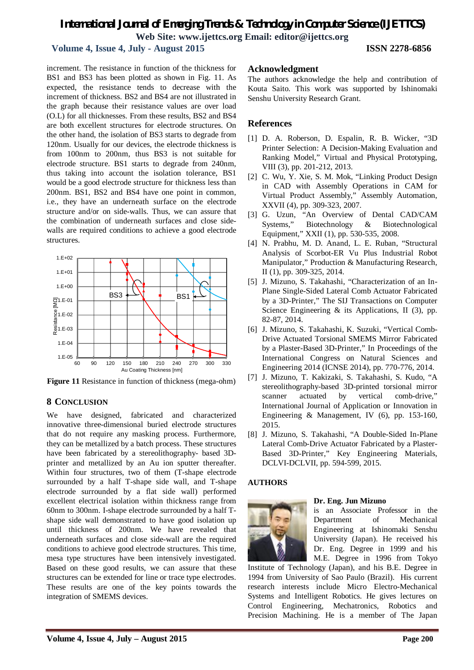## *International Journal of Emerging Trends & Technology in Computer Science (IJETTCS)* **Web Site: www.ijettcs.org Email: editor@ijettcs.org**

### **Volume 4, Issue 4, July - August 2015 ISSN 2278-6856**

increment. The resistance in function of the thickness for BS1 and BS3 has been plotted as shown in Fig. 11. As expected, the resistance tends to decrease with the increment of thickness. BS2 and BS4 are not illustrated in the graph because their resistance values are over load (O.L) for all thicknesses. From these results, BS2 and BS4 are both excellent structures for electrode structures. On the other hand, the isolation of BS3 starts to degrade from 120nm. Usually for our devices, the electrode thickness is from 100nm to 200nm, thus BS3 is not suitable for electrode structure. BS1 starts to degrade from 240nm, thus taking into account the isolation tolerance, BS1 would be a good electrode structure for thickness less than 200nm. BS1, BS2 and BS4 have one point in common, i.e., they have an underneath surface on the electrode structure and/or on side-walls. Thus, we can assure that the combination of underneath surfaces and close sidewalls are required conditions to achieve a good electrode structures.



**Figure 11** Resistance in function of thickness (mega-ohm)

#### **8 CONCLUSION**

We have designed, fabricated and characterized innovative three-dimensional buried electrode structures that do not require any masking process. Furthermore, they can be metallized by a batch process. These structures have been fabricated by a stereolithography- based 3Dprinter and metallized by an Au ion sputter thereafter. Within four structures, two of them (T-shape electrode surrounded by a half T-shape side wall, and T-shape electrode surrounded by a flat side wall) performed excellent electrical isolation within thickness range from 60nm to 300nm. I-shape electrode surrounded by a half Tshape side wall demonstrated to have good isolation up until thickness of 200nm. We have revealed that underneath surfaces and close side-wall are the required conditions to achieve good electrode structures. This time, mesa type structures have been intensively investigated. Based on these good results, we can assure that these structures can be extended for line or trace type electrodes. These results are one of the key points towards the integration of SMEMS devices.

#### **Acknowledgment**

The authors acknowledge the help and contribution of Kouta Saito. This work was supported by Ishinomaki Senshu University Research Grant.

#### **References**

- [1] D. A. Roberson, D. Espalin, R. B. Wicker, "3D Printer Selection: A Decision-Making Evaluation and Ranking Model," Virtual and Physical Prototyping, VIII (3), pp. 201-212, 2013.
- [2] C. Wu, Y. Xie, S. M. Mok, "Linking Product Design in CAD with Assembly Operations in CAM for Virtual Product Assembly," Assembly Automation, XXVII (4), pp. 309-323, 2007.
- [3] G. Uzun, "An Overview of Dental CAD/CAM Systems," Biotechnology & Biotechnological Equipment," XXII (1), pp. 530-535, 2008.
- [4] N. Prabhu, M. D. Anand, L. E. Ruban, "Structural Analysis of Scorbot-ER Vu Plus Industrial Robot Manipulator," Production & Manufacturing Research, II (1), pp. 309-325, 2014.
- [5] J. Mizuno, S. Takahashi, "Characterization of an In-Plane Single-Sided Lateral Comb Actuator Fabricated by a 3D-Printer," The SIJ Transactions on Computer Science Engineering & its Applications, II (3), pp. 82-87, 2014.
- [6] J. Mizuno, S. Takahashi, K. Suzuki, "Vertical Comb-Drive Actuated Torsional SMEMS Mirror Fabricated by a Plaster-Based 3D-Printer," In Proceedings of the International Congress on Natural Sciences and Engineering 2014 (ICNSE 2014), pp. 770-776, 2014.
- [7] J. Mizuno, T. Kakizaki, S. Takahashi, S. Kudo, "A stereolithography-based 3D-printed torsional mirror scanner actuated by vertical comb-drive," International Journal of Application or Innovation in Engineering & Management, IV (6), pp. 153-160, 2015.
- [8] J. Mizuno, S. Takahashi, "A Double-Sided In-Plane Lateral Comb-Drive Actuator Fabricated by a Plaster-Based 3D-Printer," Key Engineering Materials, DCLVI-DCLVII, pp. 594-599, 2015.

#### **AUTHORS**



#### **Dr. Eng. Jun Mizuno**

is an Associate Professor in the Department of Mechanical Engineering at Ishinomaki Senshu University (Japan). He received his Dr. Eng. Degree in 1999 and his M.E. Degree in 1996 from Tokyo

Institute of Technology (Japan), and his B.E. Degree in 1994 from University of Sao Paulo (Brazil). His current research interests include Micro Electro-Mechanical Systems and Intelligent Robotics. He gives lectures on Control Engineering, Mechatronics, Robotics and Precision Machining. He is a member of The Japan